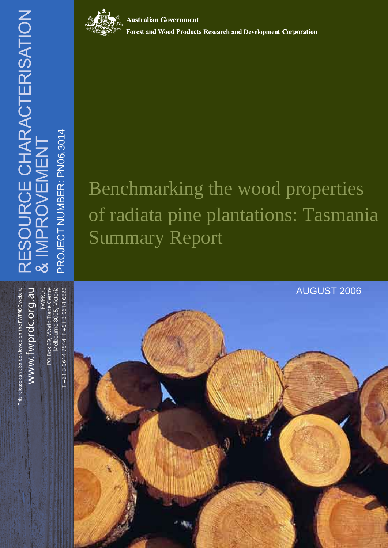



**Australian Government** 

**Forest and Wood Products Research and Development Corporation** 

## Benchmarking the wood properties of radiata pine plantations: Tasmania Summary Report

# This release can also be viewed on the FWPRDC website This release can also be viewed on the FWPRDC website

www.fwprdc.org.au www.fwprdc.org.au

PO Box 69, World Trade Centre Melbourne 8005, Victoria F +61 3 9614 7544 F +61 3 9614 6822 FWPRDC PO Box 69, World Trade Centre Melbourne 8005, Victoria

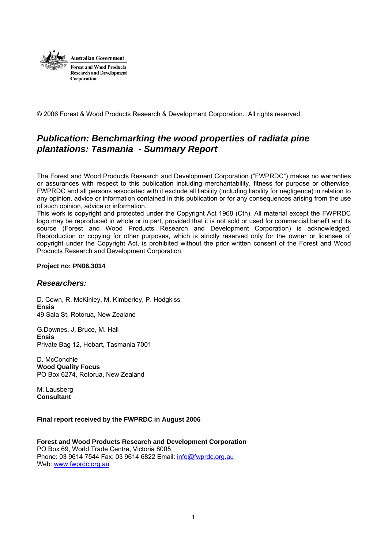

© 2006 Forest & Wood Products Research & Development Corporation. All rights reserved.

#### *Publication: Benchmarking the wood properties of radiata pine plantations: Tasmania - Summary Report*

The Forest and Wood Products Research and Development Corporation ("FWPRDC") makes no warranties or assurances with respect to this publication including merchantability, fitness for purpose or otherwise. FWPRDC and all persons associated with it exclude all liability (including liability for negligence) in relation to any opinion, advice or information contained in this publication or for any consequences arising from the use of such opinion, advice or information.

This work is copyright and protected under the Copyright Act 1968 (Cth). All material except the FWPRDC logo may be reproduced in whole or in part, provided that it is not sold or used for commercial benefit and its source (Forest and Wood Products Research and Development Corporation) is acknowledged. Reproduction or copying for other purposes, which is strictly reserved only for the owner or licensee of copyright under the Copyright Act, is prohibited without the prior written consent of the Forest and Wood Products Research and Development Corporation.

#### **Project no: PN06.3014**

#### *Researchers:*

D. Cown, R. McKinley, M. Kimberley, P. Hodgkiss **Ensis**  49 Sala St, Rotorua, New Zealand

G.Downes, J. Bruce, M. Hall **Ensis**  Private Bag 12, Hobart, Tasmania 7001

D. McConchie **Wood Quality Focus**  PO Box 6274, Rotorua, New Zealand

M. Lausberg **Consultant** 

#### **Final report received by the FWPRDC in August 2006**

**Forest and Wood Products Research and Development Corporation**  PO Box 69, World Trade Centre, Victoria 8005 Phone: 03 9614 7544 Fax: 03 9614 6822 Email: [info@fwprdc.org.au](mailto:info@fwprdc.org.au) Web: [www.fwprdc.org.au](http://www.fwprdc.org.au/)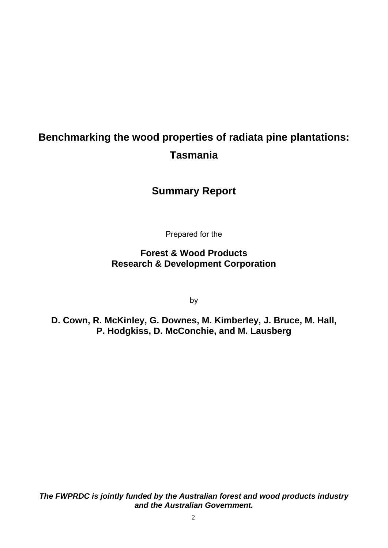## **Benchmarking the wood properties of radiata pine plantations: Tasmania**

#### **Summary Report**

Prepared for the

**Forest & Wood Products Research & Development Corporation** 

by

**D. Cown, R. McKinley, G. Downes, M. Kimberley, J. Bruce, M. Hall, P. Hodgkiss, D. McConchie, and M. Lausberg** 

*The FWPRDC is jointly funded by the Australian forest and wood products industry and the Australian Government.*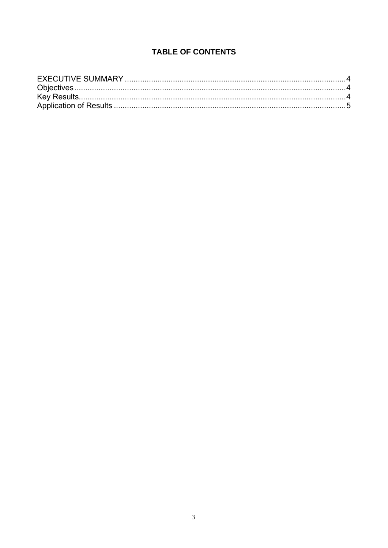#### **TABLE OF CONTENTS**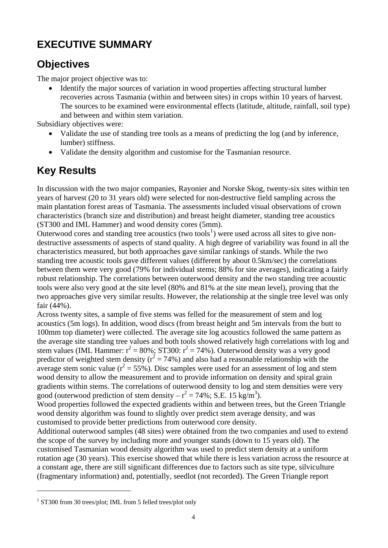## <span id="page-4-0"></span>**EXECUTIVE SUMMARY**

### **Objectives**

The major project objective was to:

• Identify the major sources of variation in wood properties affecting structural lumber recoveries across Tasmania (within and between sites) in crops within 10 years of harvest. The sources to be examined were environmental effects (latitude, altitude, rainfall, soil type) and between and within stem variation.

Subsidiary objectives were:

- Validate the use of standing tree tools as a means of predicting the log (and by inference, lumber) stiffness.
- Validate the density algorithm and customise for the Tasmanian resource.

## **Key Results**

In discussion with the two major companies, Rayonier and Norske Skog, twenty-six sites within ten years of harvest (20 to 31 years old) were selected for non-destructive field sampling across the main plantation forest areas of Tasmania. The assessments included visual observations of crown characteristics (branch size and distribution) and breast height diameter, standing tree acoustics (ST300 and IML Hammer) and wood density cores (5mm).

Outerwood cores and standing tree acoustics (two tools<sup>[1](#page-4-1)</sup>) were used across all sites to give nondestructive assessments of aspects of stand quality. A high degree of variability was found in all the characteristics measured, but both approaches gave similar rankings of stands. While the two standing tree acoustic tools gave different values (different by about 0.5km/sec) the correlations between them were very good (79% for individual stems; 88% for site averages), indicating a fairly robust relationship. The correlations between outerwood density and the two standing tree acoustic tools were also very good at the site level (80% and 81% at the site mean level), proving that the two approaches give very similar results. However, the relationship at the single tree level was only fair (44%).

Across twenty sites, a sample of five stems was felled for the measurement of stem and log acoustics (5m logs). In addition, wood discs (from breast height and 5m intervals from the butt to 100mm top diameter) were collected. The average site log acoustics followed the same pattern as the average site standing tree values and both tools showed relatively high correlations with log and stem values (IML Hammer:  $r^2 = 80\%$ ; ST300:  $r^2 = 74\%$ ). Outerwood density was a very good predictor of weighted stem density ( $r^2 = 74\%$ ) and also had a reasonable relationship with the average stem sonic value ( $r^2 = 55\%$ ). Disc samples were used for an assessment of log and stem wood density to allow the measurement and to provide information on density and spiral grain gradients within stems. The correlations of outerwood density to log and stem densities were very good (outerwood prediction of stem density  $-r^2 = 74\%$ ; S.E. 15 kg/m<sup>3</sup>).

Wood properties followed the expected gradients within and between trees, but the Green Triangle wood density algorithm was found to slightly over predict stem average density, and was customised to provide better predictions from outerwood core density.

Additional outerwood samples (48 sites) were obtained from the two companies and used to extend the scope of the survey by including more and younger stands (down to 15 years old). The customised Tasmanian wood density algorithm was used to predict stem density at a uniform rotation age (30 years). This exercise showed that while there is less variation across the resource at a constant age, there are still significant differences due to factors such as site type, silviculture (fragmentary information) and, potentially, seedlot (not recorded). The Green Triangle report

 $\overline{a}$ 

<span id="page-4-1"></span><sup>&</sup>lt;sup>1</sup> ST300 from 30 trees/plot; IML from 5 felled trees/plot only